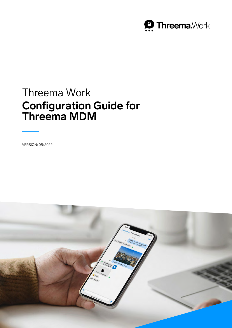

# Threema Work **Configuration Guide for Threema MDM**

VERSION: 05/2022

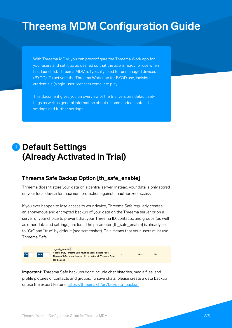# **Threema MDM Configuration Guide**

With Threema MDM, you can preconfigure the Threema Work app for your users and set it up as desired so that the app is ready for use when first launched. Threema MDM is typically used for unmanaged devices (BYOD). To activate the Threema Work app for BYOD use, individual credentials (single-user licenses) come into play.

This document gives you an overview of the trial version's default settings as well as general information about recommended contact list settings and further settings.

# **<sup>1</sup> Default Settings (Already Activated in Trial)**

#### **Threema Safe Backup Option [th\_safe\_enable]**

Threema doesn't store your data on a central server. Instead, your data is only stored on your local device for maximum protection against unauthorized access.

If you ever happen to lose access to your device, Threema Safe regularly creates an anonymous and encrypted backup of your data on the Threema server or on a server of your choice to prevent that your Threema ID, contacts, and groups (as well as other data and settings) are lost. The parameter [th\_safe\_enable] is already set to "On" and "true" by default (see screenshot). This means that your users must use Threema Safe.



th\_safe\_enable ? If set to true, Threema Safe must be used; if set to false, **No** Threema Safe cannot be used. (If not set at all, Threema Safe can be used.)

**Important:** Threema Safe backups don't include chat histories, media files, and profile pictures of contacts and groups. To save chats, please create a data backup or use the export feature: [https://threema.ch/en/faq/data\\_backup](https://threema.ch/en/faq/data_backup)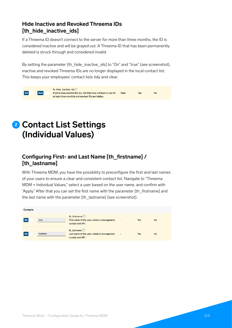## **Hide Inactive and Revoked Threema IDs [th\_hide\_inactive\_ids]**

If a Threema ID doesn't connect to the server for more than three months, the ID is considered inactive and will be grayed out. A Threema ID that has been permanently deleted is struck through and considered invalid.

By setting the parameter [th\_hide\_inactive\_ids] to "On" and "true" (see screenshot), inactive and revoked Threema IDs are no longer displayed in the local contact list. This keeps your employees' contact lists tidy and clear.



# **<sup>2</sup> Contact List Settings (Individual Values)**

# **Configuring First- and Last Name [th\_firstname] / [th\_lastname]**

With Threema MDM, you have the possibility to preconfigure the first and last names of your users to ensure a clear and consistent contact list. Navigate to "Threema MDM > Individual Values," select a user based on the user name, and confirm with "Apply." After that you can set the first name with the parameter [th\_firstname] and the last name with the parameter [th\_lastname] (see screenshot).

| Contacts |         |                                                                                         |                          |     |           |
|----------|---------|-----------------------------------------------------------------------------------------|--------------------------|-----|-----------|
| On       | Lisa    | th firstname $(2)$<br>First name of the user; visible in management<br>cockpit and API. | $\overline{\phantom{a}}$ | Yes | <b>No</b> |
| l On     | Goldman | th lastname $(?)$<br>Last name of the user; visible in management<br>cockpit and API.   | $\overline{\phantom{0}}$ | Yes | <b>No</b> |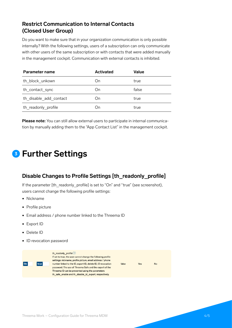## **Restrict Communication to Internal Contacts (Closed User Group)**

Do you want to make sure that in your organization communication is only possible internally? With the following settings, users of a subscription can only communicate with other users of the same subscription or with contacts that were added manually in the management cockpit. Communication with external contacts is inhibited.

| Parameter name         | <b>Activated</b> | Value |
|------------------------|------------------|-------|
| th block unkown        | On               | true  |
| th contact sync        | On               | false |
| th disable add contact | Dη               | true  |
| th readonly profile    | )n               | true  |

**Please note:** You can still allow external users to participate in internal communication by manually adding them to the "App Contact List" in the management cockpit.

# **<sup>3</sup> Further Settings**

## **Disable Changes to Profile Settings [th\_readonly\_profile]**

If the parameter [th\_readonly\_profile] is set to "On" and "true" (see screenshot), users cannot change the following profile settings:

- Nickname
- Profile picture
- Email address / phone number linked to the Threema ID
- Export ID
- Delete ID
- ID revocation password